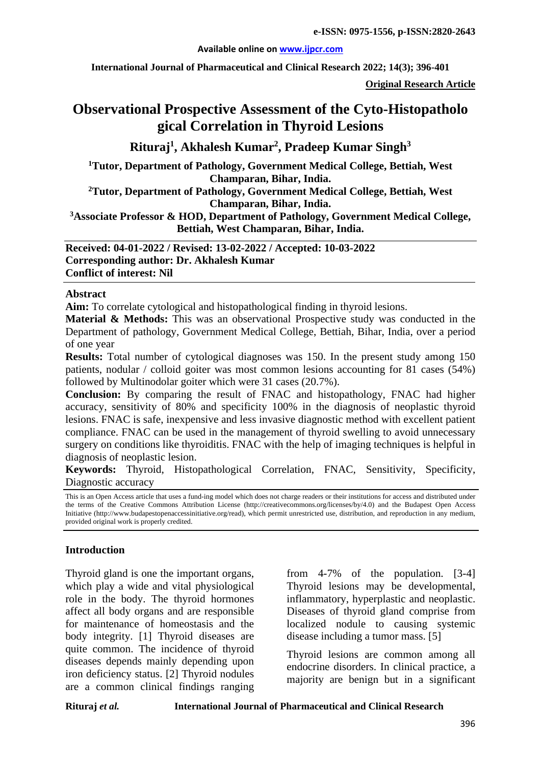#### **Available online on [www.ijpcr.com](http://www.ijpcr.com/)**

**International Journal of Pharmaceutical and Clinical Research 2022; 14(3); 396-401**

**Original Research Article**

# **Observational Prospective Assessment of the Cyto-Histopatholo gical Correlation in Thyroid Lesions**

**Rituraj<sup>1</sup> , Akhalesh Kumar2 , Pradeep Kumar Singh3**

**1Tutor, Department of Pathology, Government Medical College, Bettiah, West Champaran, Bihar, India.**

**2Tutor, Department of Pathology, Government Medical College, Bettiah, West Champaran, Bihar, India.**

**3Associate Professor & HOD, Department of Pathology, Government Medical College, Bettiah, West Champaran, Bihar, India.**

**Received: 04-01-2022 / Revised: 13-02-2022 / Accepted: 10-03-2022 Corresponding author: Dr. Akhalesh Kumar Conflict of interest: Nil**

#### **Abstract**

**Aim:** To correlate cytological and histopathological finding in thyroid lesions.

**Material & Methods:** This was an observational Prospective study was conducted in the Department of pathology, Government Medical College, Bettiah, Bihar, India, over a period of one year

**Results:** Total number of cytological diagnoses was 150. In the present study among 150 patients, nodular / colloid goiter was most common lesions accounting for 81 cases (54%) followed by Multinodolar goiter which were 31 cases (20.7%).

**Conclusion:** By comparing the result of FNAC and histopathology, FNAC had higher accuracy, sensitivity of 80% and specificity 100% in the diagnosis of neoplastic thyroid lesions. FNAC is safe, inexpensive and less invasive diagnostic method with excellent patient compliance. FNAC can be used in the management of thyroid swelling to avoid unnecessary surgery on conditions like thyroiditis. FNAC with the help of imaging techniques is helpful in diagnosis of neoplastic lesion.

**Keywords:** Thyroid, Histopathological Correlation, FNAC, Sensitivity, Specificity, Diagnostic accuracy

This is an Open Access article that uses a fund-ing model which does not charge readers or their institutions for access and distributed under the terms of the Creative Commons Attribution License (http://creativecommons.org/licenses/by/4.0) and the Budapest Open Access Initiative (http://www.budapestopenaccessinitiative.org/read), which permit unrestricted use, distribution, and reproduction in any medium, provided original work is properly credited.

## **Introduction**

Thyroid gland is one the important organs, which play a wide and vital physiological role in the body. The thyroid hormones affect all body organs and are responsible for maintenance of homeostasis and the body integrity. [1] Thyroid diseases are quite common. The incidence of thyroid diseases depends mainly depending upon iron deficiency status. [2] Thyroid nodules are a common clinical findings ranging

from 4-7% of the population. [3-4] Thyroid lesions may be developmental, inflammatory, hyperplastic and neoplastic. Diseases of thyroid gland comprise from localized nodule to causing systemic disease including a tumor mass. [5]

Thyroid lesions are common among all endocrine disorders. In clinical practice, a majority are benign but in a significant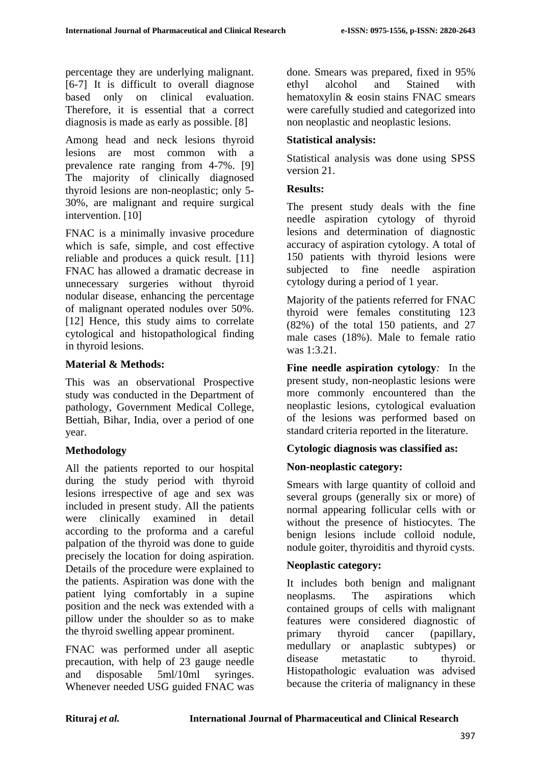percentage they are underlying malignant. [6-7] It is difficult to overall diagnose based only on clinical evaluation. Therefore, it is essential that a correct diagnosis is made as early as possible. [8]

Among head and neck lesions thyroid lesions are most common with a prevalence rate ranging from 4-7%. [9] The majority of clinically diagnosed thyroid lesions are non-neoplastic; only 5- 30%, are malignant and require surgical intervention. [10]

FNAC is a minimally invasive procedure which is safe, simple, and cost effective reliable and produces a quick result. [11] FNAC has allowed a dramatic decrease in unnecessary surgeries without thyroid nodular disease, enhancing the percentage of malignant operated nodules over 50%. [12] Hence, this study aims to correlate cytological and histopathological finding in thyroid lesions.

## **Material & Methods:**

This was an observational Prospective study was conducted in the Department of pathology, Government Medical College, Bettiah, Bihar, India, over a period of one year.

## **Methodology**

All the patients reported to our hospital during the study period with thyroid lesions irrespective of age and sex was included in present study. All the patients were clinically examined in detail according to the proforma and a careful palpation of the thyroid was done to guide precisely the location for doing aspiration. Details of the procedure were explained to the patients. Aspiration was done with the patient lying comfortably in a supine position and the neck was extended with a pillow under the shoulder so as to make the thyroid swelling appear prominent.

FNAC was performed under all aseptic precaution, with help of 23 gauge needle<br>and disposable  $5 \text{ml} / 10 \text{ml}$  syringes. and disposable 5ml/10ml syringes. Whenever needed USG guided FNAC was

done. Smears was prepared, fixed in 95% ethyl alcohol and Stained with hematoxylin & eosin stains FNAC smears were carefully studied and categorized into non neoplastic and neoplastic lesions.

# **Statistical analysis:**

Statistical analysis was done using SPSS version 21.

### **Results:**

The present study deals with the fine needle aspiration cytology of thyroid lesions and determination of diagnostic accuracy of aspiration cytology. A total of 150 patients with thyroid lesions were subjected to fine needle aspiration cytology during a period of 1 year.

Majority of the patients referred for FNAC thyroid were females constituting 123 (82%) of the total 150 patients, and 27 male cases (18%). Male to female ratio was 1:3.21.

**Fine needle aspiration cytology***:* In the present study, non-neoplastic lesions were more commonly encountered than the neoplastic lesions, cytological evaluation of the lesions was performed based on standard criteria reported in the literature.

## **Cytologic diagnosis was classified as:**

# **Non-neoplastic category:**

Smears with large quantity of colloid and several groups (generally six or more) of normal appearing follicular cells with or without the presence of histiocytes. The benign lesions include colloid nodule, nodule goiter, thyroiditis and thyroid cysts.

## **Neoplastic category:**

It includes both benign and malignant neoplasms. The aspirations which contained groups of cells with malignant features were considered diagnostic of primary thyroid cancer (papillary, medullary or anaplastic subtypes) or disease metastatic to thyroid. Histopathologic evaluation was advised because the criteria of malignancy in these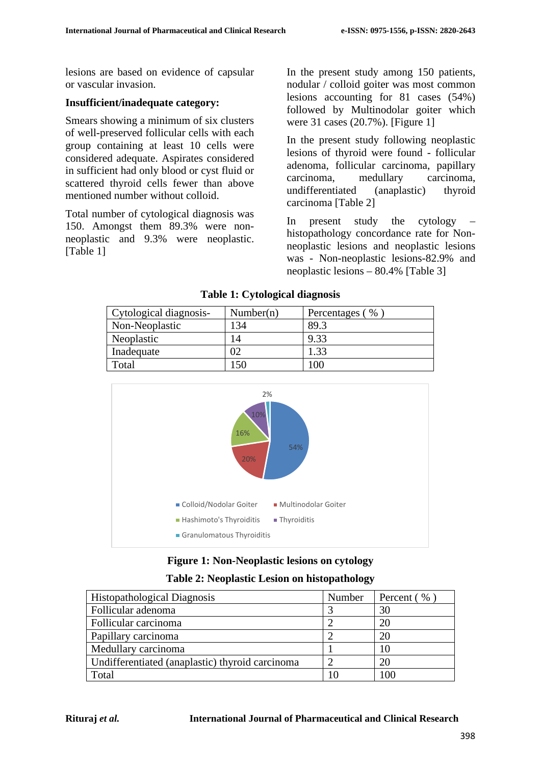lesions are based on evidence of capsular or vascular invasion.

### **Insufficient/inadequate category:**

Smears showing a minimum of six clusters of well-preserved follicular cells with each group containing at least 10 cells were considered adequate. Aspirates considered in sufficient had only blood or cyst fluid or scattered thyroid cells fewer than above mentioned number without colloid.

Total number of cytological diagnosis was 150. Amongst them 89.3% were nonneoplastic and 9.3% were neoplastic. [Table 1]

In the present study among 150 patients, nodular / colloid goiter was most common lesions accounting for 81 cases (54%) followed by Multinodolar goiter which were 31 cases (20.7%). [Figure 1]

In the present study following neoplastic lesions of thyroid were found - follicular adenoma, follicular carcinoma, papillary carcinoma, medullary carcinoma, undifferentiated (anaplastic) thyroid carcinoma [Table 2]

In present study the cytology – histopathology concordance rate for Nonneoplastic lesions and neoplastic lesions was - Non-neoplastic lesions-82.9% and neoplastic lesions – 80.4% [Table 3]

| Cytological diagnosis- | Number(n) | Percentages (% |
|------------------------|-----------|----------------|
| Non-Neoplastic         | 134       | 89.3           |
| Neoplastic             | 14        | 9.33           |
| Inadequate             | 02        | 1.33           |
| Total                  | .50       | $100\,$        |

#### **Table 1: Cytological diagnosis**



## **Figure 1: Non-Neoplastic lesions on cytology**

#### **Table 2: Neoplastic Lesion on histopathology**

| <b>Histopathological Diagnosis</b>              | Number | Percent (%) |  |
|-------------------------------------------------|--------|-------------|--|
| Follicular adenoma                              |        | 30          |  |
| Follicular carcinoma                            |        | 20          |  |
| Papillary carcinoma                             |        | 20          |  |
| Medullary carcinoma                             |        | 10          |  |
| Undifferentiated (anaplastic) thyroid carcinoma |        | 20          |  |
| Total                                           |        | 100         |  |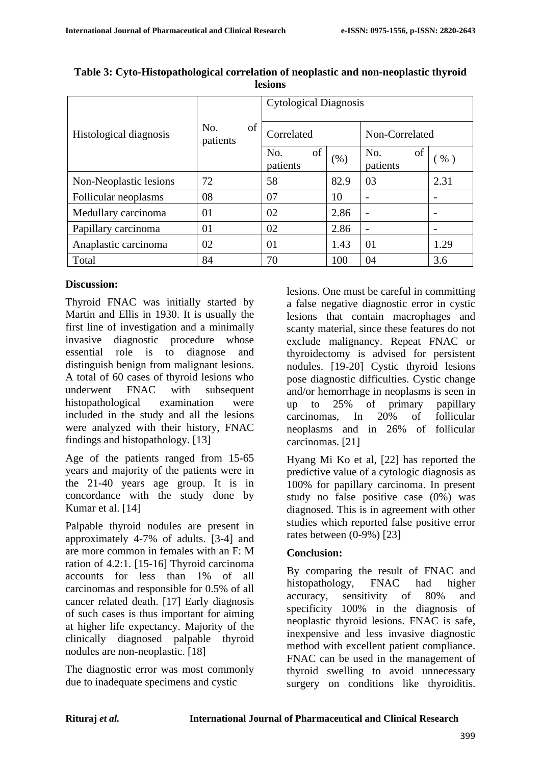| Histological diagnosis | of<br>No.<br>patients | <b>Cytological Diagnosis</b> |      |                       |                          |  |
|------------------------|-----------------------|------------------------------|------|-----------------------|--------------------------|--|
|                        |                       | Correlated                   |      | Non-Correlated        |                          |  |
|                        |                       | of<br>No.<br>patients        | (% ) | of<br>No.<br>patients | $%$ )                    |  |
| Non-Neoplastic lesions | 72                    | 58                           | 82.9 | 03                    | 2.31                     |  |
| Follicular neoplasms   | 08                    | 07                           | 10   |                       |                          |  |
| Medullary carcinoma    | 01                    | 02                           | 2.86 |                       |                          |  |
| Papillary carcinoma    | 01                    | 02                           | 2.86 | -                     | $\overline{\phantom{0}}$ |  |
| Anaplastic carcinoma   | 02                    | 01                           | 1.43 | 01                    | 1.29                     |  |
| Total                  | 84                    | 70                           | 100  | 04                    | 3.6                      |  |

**Table 3: Cyto-Histopathological correlation of neoplastic and non-neoplastic thyroid lesions**

# **Discussion:**

Thyroid FNAC was initially started by Martin and Ellis in 1930. It is usually the first line of investigation and a minimally invasive diagnostic procedure whose essential role is to diagnose and distinguish benign from malignant lesions. A total of 60 cases of thyroid lesions who underwent FNAC with subsequent histopathological examination were included in the study and all the lesions were analyzed with their history, FNAC findings and histopathology. [13]

Age of the patients ranged from 15-65 years and majority of the patients were in the 21-40 years age group. It is in concordance with the study done by Kumar et al. [14]

Palpable thyroid nodules are present in approximately 4-7% of adults. [3-4] and are more common in females with an F: M ration of 4.2:1. [15-16] Thyroid carcinoma accounts for less than 1% of all carcinomas and responsible for 0.5% of all cancer related death. [17] Early diagnosis of such cases is thus important for aiming at higher life expectancy. Majority of the clinically diagnosed palpable thyroid nodules are non-neoplastic. [18]

The diagnostic error was most commonly due to inadequate specimens and cystic

lesions. One must be careful in committing a false negative diagnostic error in cystic lesions that contain macrophages and scanty material, since these features do not exclude malignancy. Repeat FNAC or thyroidectomy is advised for persistent nodules. [19-20] Cystic thyroid lesions pose diagnostic difficulties. Cystic change and/or hemorrhage in neoplasms is seen in up to 25% of primary papillary carcinomas, In 20% of follicular neoplasms and in 26% of follicular carcinomas. [21]

Hyang Mi Ko et al, [22] has reported the predictive value of a cytologic diagnosis as 100% for papillary carcinoma. In present study no false positive case (0%) was diagnosed. This is in agreement with other studies which reported false positive error rates between (0-9%) [23]

## **Conclusion:**

By comparing the result of FNAC and histopathology, FNAC had higher accuracy, sensitivity of 80% and specificity 100% in the diagnosis of neoplastic thyroid lesions. FNAC is safe, inexpensive and less invasive diagnostic method with excellent patient compliance. FNAC can be used in the management of thyroid swelling to avoid unnecessary surgery on conditions like thyroiditis.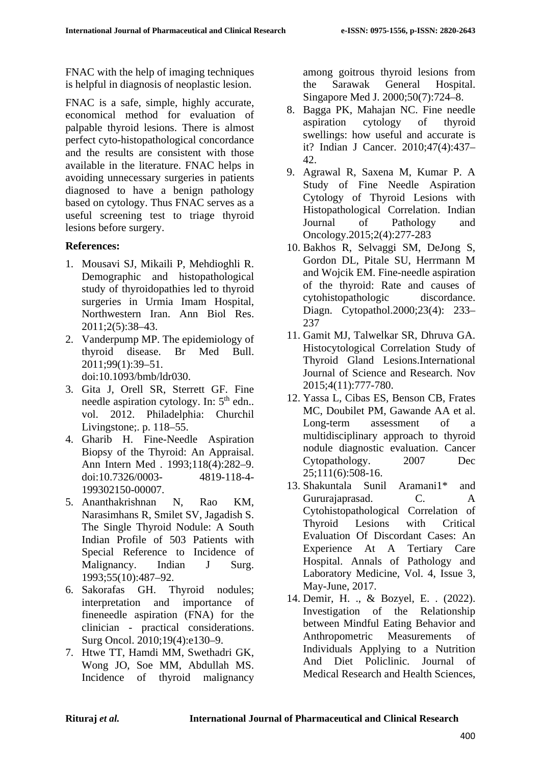FNAC with the help of imaging techniques is helpful in diagnosis of neoplastic lesion.

FNAC is a safe, simple, highly accurate, economical method for evaluation of palpable thyroid lesions. There is almost perfect cyto-histopathological concordance and the results are consistent with those available in the literature. FNAC helps in avoiding unnecessary surgeries in patients diagnosed to have a benign pathology based on cytology. Thus FNAC serves as a useful screening test to triage thyroid lesions before surgery.

# **References:**

- 1. Mousavi SJ, Mikaili P, Mehdioghli R. Demographic and histopathological study of thyroidopathies led to thyroid surgeries in Urmia Imam Hospital, Northwestern Iran. Ann Biol Res. 2011;2(5):38–43.
- 2. Vanderpump MP. The epidemiology of thyroid disease. Br Med Bull. 2011;99(1):39–51. doi:10.1093/bmb/ldr030.
- 3. Gita J, Orell SR, Sterrett GF. Fine needle aspiration cytology. In: 5<sup>th</sup> edn.. vol. 2012. Philadelphia: Churchil Livingstone;. p. 118–55.
- 4. Gharib H. Fine-Needle Aspiration Biopsy of the Thyroid: An Appraisal. Ann Intern Med . 1993;118(4):282–9. doi:10.7326/0003- 4819-118-4- 199302150-00007.
- 5. Ananthakrishnan N, Rao KM, Narasimhans R, Smilet SV, Jagadish S. The Single Thyroid Nodule: A South Indian Profile of 503 Patients with Special Reference to Incidence of Malignancy. Indian J Surg. 1993;55(10):487–92.
- 6. Sakorafas GH. Thyroid nodules; interpretation and importance of fineneedle aspiration (FNA) for the clinician - practical considerations. Surg Oncol. 2010;19(4):e130–9.
- 7. Htwe TT, Hamdi MM, Swethadri GK, Wong JO, Soe MM, Abdullah MS. Incidence of thyroid malignancy

among goitrous thyroid lesions from the Sarawak General Hospital. Singapore Med J. 2000;50(7):724–8.

- 8. Bagga PK, Mahajan NC. Fine needle aspiration cytology of thyroid swellings: how useful and accurate is it? Indian J Cancer. 2010;47(4):437– 42.
- 9. Agrawal R, Saxena M, Kumar P. A Study of Fine Needle Aspiration Cytology of Thyroid Lesions with Histopathological Correlation. Indian Journal of Pathology and Oncology.2015;2(4):277-283
- 10. Bakhos R, Selvaggi SM, DeJong S, Gordon DL, Pitale SU, Herrmann M and Wojcik EM. Fine-needle aspiration of the thyroid: Rate and causes of cytohistopathologic discordance. Diagn. Cytopathol.2000;23(4): 233– 237
- 11. Gamit MJ, Talwelkar SR, Dhruva GA. Histocytological Correlation Study of Thyroid Gland Lesions.International Journal of Science and Research. Nov 2015;4(11):777-780.
- 12. Yassa L, Cibas ES, Benson CB, Frates MC, Doubilet PM, Gawande AA et al. Long-term assessment of a multidisciplinary approach to thyroid nodule diagnostic evaluation. Cancer Cytopathology. 2007 Dec 25;111(6):508-16.
- 13. Shakuntala Sunil Aramani1\* and Gururajaprasad. C. A Cytohistopathological Correlation of Thyroid Lesions with Critical Evaluation Of Discordant Cases: An Experience At A Tertiary Care Hospital. Annals of Pathology and Laboratory Medicine, Vol. 4, Issue 3, May-June, 2017.
- 14. Demir, H. ., & Bozyel, E. . (2022). Investigation of the Relationship between Mindful Eating Behavior and Anthropometric Measurements of Individuals Applying to a Nutrition And Diet Policlinic. Journal of Medical Research and Health Sciences,